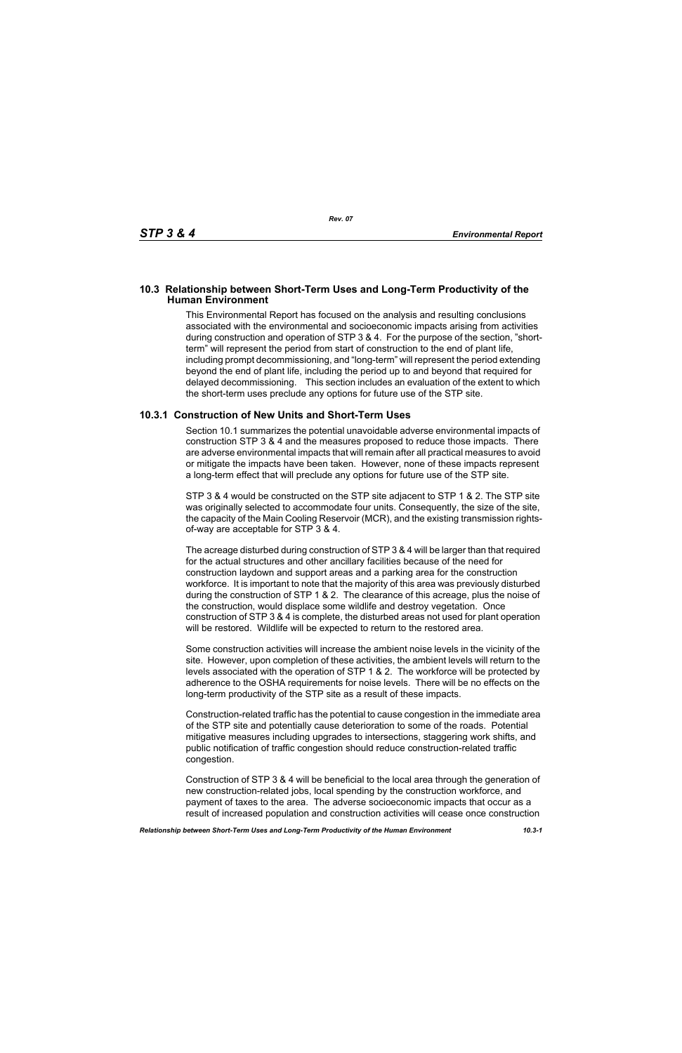## **10.3 Relationship between Short-Term Uses and Long-Term Productivity of the Human Environment**

This Environmental Report has focused on the analysis and resulting conclusions associated with the environmental and socioeconomic impacts arising from activities during construction and operation of STP 3 & 4. For the purpose of the section, "shortterm" will represent the period from start of construction to the end of plant life, including prompt decommissioning, and "long-term" will represent the period extending beyond the end of plant life, including the period up to and beyond that required for delayed decommissioning. This section includes an evaluation of the extent to which the short-term uses preclude any options for future use of the STP site.

## **10.3.1 Construction of New Units and Short-Term Uses**

Section 10.1 summarizes the potential unavoidable adverse environmental impacts of construction STP 3 & 4 and the measures proposed to reduce those impacts. There are adverse environmental impacts that will remain after all practical measures to avoid or mitigate the impacts have been taken. However, none of these impacts represent a long-term effect that will preclude any options for future use of the STP site.

STP 3 & 4 would be constructed on the STP site adjacent to STP 1 & 2. The STP site was originally selected to accommodate four units. Consequently, the size of the site, the capacity of the Main Cooling Reservoir (MCR), and the existing transmission rightsof-way are acceptable for STP 3 & 4.

The acreage disturbed during construction of STP 3 & 4 will be larger than that required for the actual structures and other ancillary facilities because of the need for construction laydown and support areas and a parking area for the construction workforce. It is important to note that the majority of this area was previously disturbed during the construction of STP 1 & 2. The clearance of this acreage, plus the noise of the construction, would displace some wildlife and destroy vegetation. Once construction of STP 3 & 4 is complete, the disturbed areas not used for plant operation will be restored. Wildlife will be expected to return to the restored area.

Some construction activities will increase the ambient noise levels in the vicinity of the site. However, upon completion of these activities, the ambient levels will return to the levels associated with the operation of STP 1 & 2. The workforce will be protected by adherence to the OSHA requirements for noise levels. There will be no effects on the long-term productivity of the STP site as a result of these impacts.

Construction-related traffic has the potential to cause congestion in the immediate area of the STP site and potentially cause deterioration to some of the roads. Potential mitigative measures including upgrades to intersections, staggering work shifts, and public notification of traffic congestion should reduce construction-related traffic congestion.

Construction of STP 3 & 4 will be beneficial to the local area through the generation of new construction-related jobs, local spending by the construction workforce, and payment of taxes to the area. The adverse socioeconomic impacts that occur as a result of increased population and construction activities will cease once construction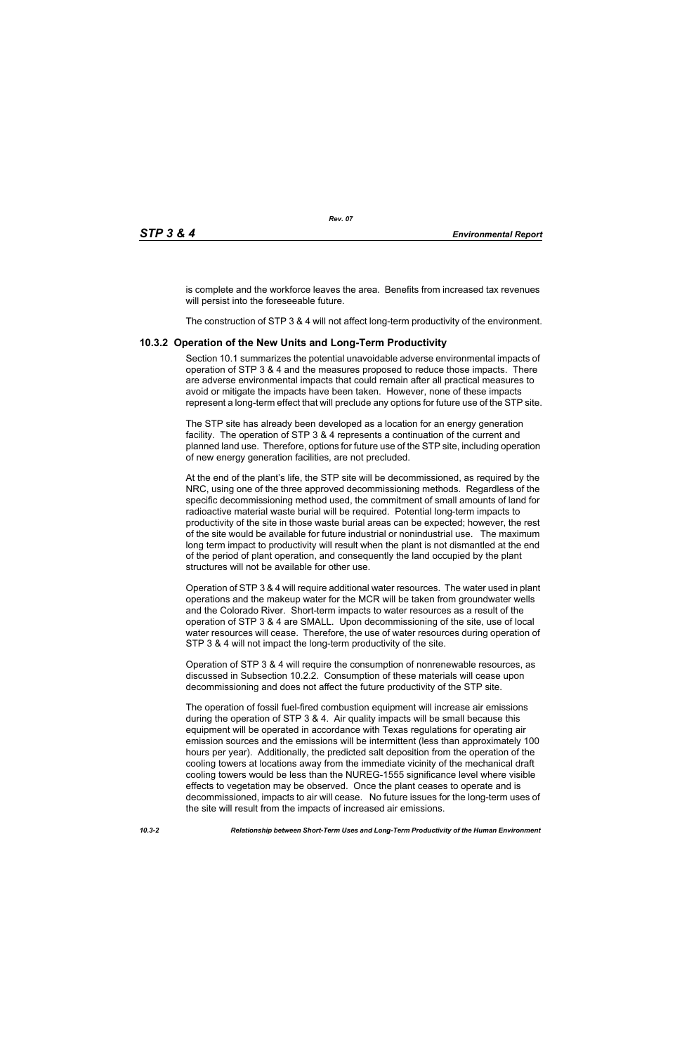is complete and the workforce leaves the area. Benefits from increased tax revenues will persist into the foreseeable future.

The construction of STP 3 & 4 will not affect long-term productivity of the environment.

## **10.3.2 Operation of the New Units and Long-Term Productivity**

Section 10.1 summarizes the potential unavoidable adverse environmental impacts of operation of STP 3 & 4 and the measures proposed to reduce those impacts. There are adverse environmental impacts that could remain after all practical measures to avoid or mitigate the impacts have been taken. However, none of these impacts represent a long-term effect that will preclude any options for future use of the STP site.

The STP site has already been developed as a location for an energy generation facility. The operation of STP 3 & 4 represents a continuation of the current and planned land use. Therefore, options for future use of the STP site, including operation of new energy generation facilities, are not precluded.

At the end of the plant's life, the STP site will be decommissioned, as required by the NRC, using one of the three approved decommissioning methods. Regardless of the specific decommissioning method used, the commitment of small amounts of land for radioactive material waste burial will be required. Potential long-term impacts to productivity of the site in those waste burial areas can be expected; however, the rest of the site would be available for future industrial or nonindustrial use. The maximum long term impact to productivity will result when the plant is not dismantled at the end of the period of plant operation, and consequently the land occupied by the plant structures will not be available for other use.

Operation of STP 3 & 4 will require additional water resources. The water used in plant operations and the makeup water for the MCR will be taken from groundwater wells and the Colorado River. Short-term impacts to water resources as a result of the operation of STP 3 & 4 are SMALL. Upon decommissioning of the site, use of local water resources will cease. Therefore, the use of water resources during operation of STP 3 & 4 will not impact the long-term productivity of the site.

Operation of STP 3 & 4 will require the consumption of nonrenewable resources, as discussed in Subsection 10.2.2. Consumption of these materials will cease upon decommissioning and does not affect the future productivity of the STP site.

The operation of fossil fuel-fired combustion equipment will increase air emissions during the operation of STP 3 & 4. Air quality impacts will be small because this equipment will be operated in accordance with Texas regulations for operating air emission sources and the emissions will be intermittent (less than approximately 100 hours per year). Additionally, the predicted salt deposition from the operation of the cooling towers at locations away from the immediate vicinity of the mechanical draft cooling towers would be less than the NUREG-1555 significance level where visible effects to vegetation may be observed. Once the plant ceases to operate and is decommissioned, impacts to air will cease. No future issues for the long-term uses of the site will result from the impacts of increased air emissions.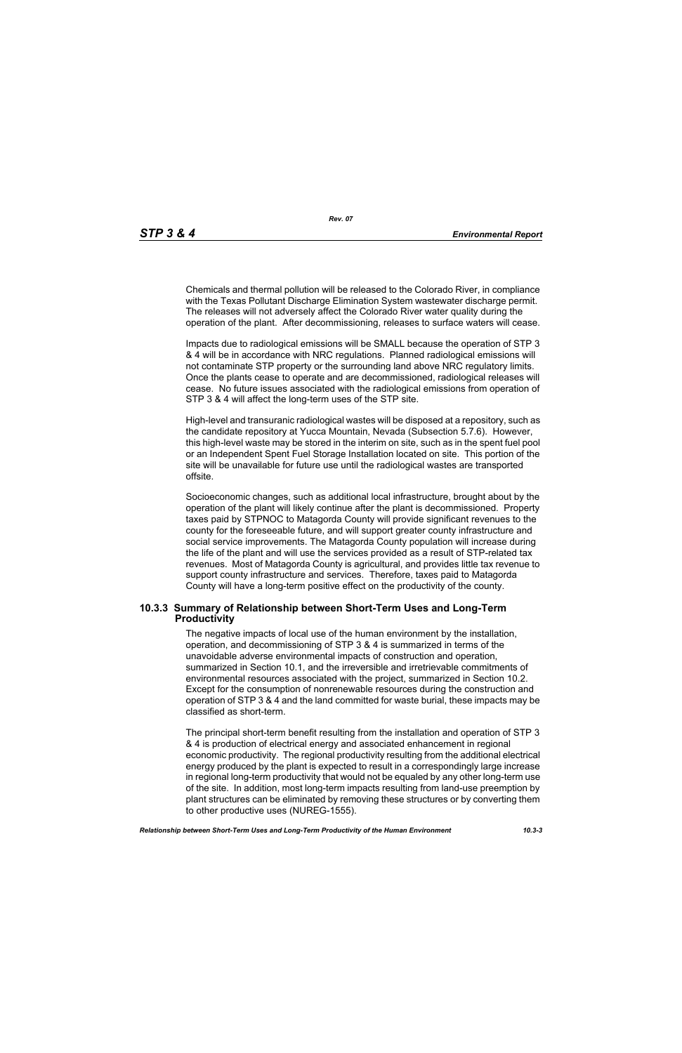Chemicals and thermal pollution will be released to the Colorado River, in compliance with the Texas Pollutant Discharge Elimination System wastewater discharge permit. The releases will not adversely affect the Colorado River water quality during the operation of the plant. After decommissioning, releases to surface waters will cease.

Impacts due to radiological emissions will be SMALL because the operation of STP 3 & 4 will be in accordance with NRC regulations. Planned radiological emissions will not contaminate STP property or the surrounding land above NRC regulatory limits. Once the plants cease to operate and are decommissioned, radiological releases will cease. No future issues associated with the radiological emissions from operation of STP 3 & 4 will affect the long-term uses of the STP site.

High-level and transuranic radiological wastes will be disposed at a repository, such as the candidate repository at Yucca Mountain, Nevada (Subsection 5.7.6). However, this high-level waste may be stored in the interim on site, such as in the spent fuel pool or an Independent Spent Fuel Storage Installation located on site. This portion of the site will be unavailable for future use until the radiological wastes are transported offsite.

Socioeconomic changes, such as additional local infrastructure, brought about by the operation of the plant will likely continue after the plant is decommissioned. Property taxes paid by STPNOC to Matagorda County will provide significant revenues to the county for the foreseeable future, and will support greater county infrastructure and social service improvements. The Matagorda County population will increase during the life of the plant and will use the services provided as a result of STP-related tax revenues. Most of Matagorda County is agricultural, and provides little tax revenue to support county infrastructure and services. Therefore, taxes paid to Matagorda County will have a long-term positive effect on the productivity of the county.

## **10.3.3 Summary of Relationship between Short-Term Uses and Long-Term Productivity**

The negative impacts of local use of the human environment by the installation, operation, and decommissioning of STP 3 & 4 is summarized in terms of the unavoidable adverse environmental impacts of construction and operation, summarized in Section 10.1, and the irreversible and irretrievable commitments of environmental resources associated with the project, summarized in Section 10.2. Except for the consumption of nonrenewable resources during the construction and operation of STP 3 & 4 and the land committed for waste burial, these impacts may be classified as short-term.

The principal short-term benefit resulting from the installation and operation of STP 3 & 4 is production of electrical energy and associated enhancement in regional economic productivity. The regional productivity resulting from the additional electrical energy produced by the plant is expected to result in a correspondingly large increase in regional long-term productivity that would not be equaled by any other long-term use of the site. In addition, most long-term impacts resulting from land-use preemption by plant structures can be eliminated by removing these structures or by converting them to other productive uses (NUREG-1555).